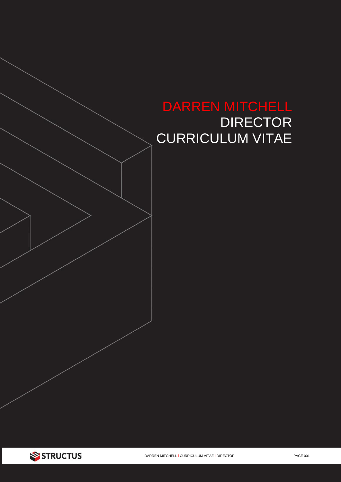

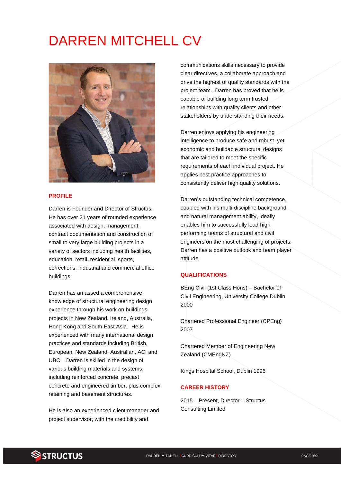# DARREN MITCHELL CV



#### **PROFILE**

Darren is Founder and Director of Structus. He has over 21 years of rounded experience associated with design, management, contract documentation and construction of small to very large building projects in a variety of sectors including health facilities, education, retail, residential, sports, corrections, industrial and commercial office buildings.

Darren has amassed a comprehensive knowledge of structural engineering design experience through his work on buildings projects in New Zealand, Ireland, Australia, Hong Kong and South East Asia. He is experienced with many international design practices and standards including British, European, New Zealand, Australian, ACI and UBC. Darren is skilled in the design of various building materials and systems, including reinforced concrete, precast concrete and engineered timber, plus complex retaining and basement structures.

He is also an experienced client manager and project supervisor, with the credibility and

communications skills necessary to provide clear directives, a collaborate approach and drive the highest of quality standards with the project team. Darren has proved that he is capable of building long term trusted relationships with quality clients and other stakeholders by understanding their needs.

Darren enjoys applying his engineering intelligence to produce safe and robust, yet economic and buildable structural designs that are tailored to meet the specific requirements of each individual project. He applies best practice approaches to consistently deliver high quality solutions.

Darren's outstanding technical competence, coupled with his multi-discipline background and natural management ability, ideally enables him to successfully lead high performing teams of structural and civil engineers on the most challenging of projects. Darren has a positive outlook and team player attitude.

#### **QUALIFICATIONS**

BEng Civil (1st Class Hons) – Bachelor of Civil Engineering, University College Dublin 2000

Chartered Professional Engineer (CPEng) 2007

Chartered Member of Engineering New Zealand (CMEngNZ)

Kings Hospital School, Dublin 1996

#### **CAREER HISTORY**

2015 – Present, Director – Structus Consulting Limited

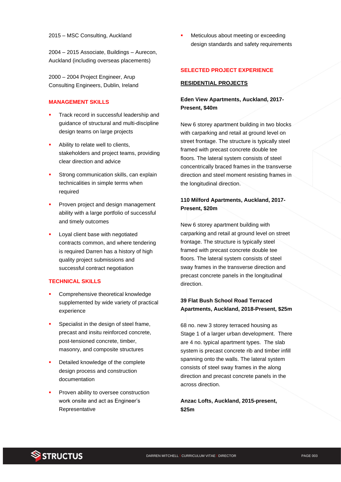2004 – 2015 Associate, Buildings – Aurecon, Auckland (including overseas placements)

2000 – 2004 Project Engineer, Arup Consulting Engineers, Dublin, Ireland

#### **MANAGEMENT SKILLS**

- Track record in successful leadership and guidance of structural and multi-discipline design teams on large projects
- Ability to relate well to clients, stakeholders and project teams, providing clear direction and advice
- Strong communication skills, can explain technicalities in simple terms when required
- Proven project and design management ability with a large portfolio of successful and timely outcomes
- Loyal client base with negotiated contracts common, and where tendering is required Darren has a history of high quality project submissions and successful contract negotiation

#### **TECHNICAL SKILLS**

- Comprehensive theoretical knowledge supplemented by wide variety of practical experience
- Specialist in the design of steel frame, precast and insitu reinforced concrete, post-tensioned concrete, timber, masonry, and composite structures
- Detailed knowledge of the complete design process and construction documentation
- Proven ability to oversee construction work onsite and act as Engineer's Representative

Meticulous about meeting or exceeding design standards and safety requirements

#### **SELECTED PROJECT EXPERIENCE**

#### **RESIDENTIAL PROJECTS**

## **Eden View Apartments, Auckland, 2017- Present, \$40m**

New 6 storey apartment building in two blocks with carparking and retail at ground level on street frontage. The structure is typically steel framed with precast concrete double tee floors. The lateral system consists of steel concentrically braced frames in the transverse direction and steel moment resisting frames in the longitudinal direction.

# **110 Milford Apartments, Auckland, 2017- Present, \$20m**

New 6 storey apartment building with carparking and retail at ground level on street frontage. The structure is typically steel framed with precast concrete double tee floors. The lateral system consists of steel sway frames in the transverse direction and precast concrete panels in the longitudinal direction.

## **39 Flat Bush School Road Terraced Apartments, Auckland, 2018-Present, \$25m**

68 no. new 3 storey terraced housing as Stage 1 of a larger urban development. There are 4 no. typical apartment types. The slab system is precast concrete rib and timber infill spanning onto the walls. The lateral system consists of steel sway frames in the along direction and precast concrete panels in the across direction.

#### **Anzac Lofts, Auckland, 2015-present, \$25m**

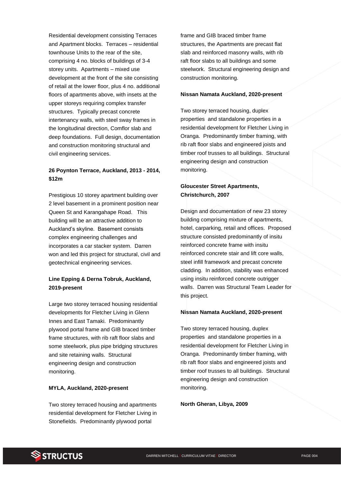Residential development consisting Terraces and Apartment blocks. Terraces – residential townhouse Units to the rear of the site, comprising 4 no. blocks of buildings of 3-4 storey units. Apartments – mixed use development at the front of the site consisting of retail at the lower floor, plus 4 no. additional floors of apartments above, with insets at the upper storeys requiring complex transfer structures. Typically precast concrete intertenancy walls, with steel sway frames in the longitudinal direction, Comflor slab and deep foundations. Full design, documentation and construction monitoring structural and civil engineering services.

## **26 Poynton Terrace, Auckland, 2013 - 2014, \$12m**

Prestigious 10 storey apartment building over 2 level basement in a prominent position near Queen St and Karangahape Road. This building will be an attractive addition to Auckland's skyline. Basement consists complex engineering challenges and incorporates a car stacker system. Darren won and led this project for structural, civil and geotechnical engineering services.

## **Line Epping & Derna Tobruk, Auckland, 2019-present**

Large two storey terraced housing residential developments for Fletcher Living in Glenn Innes and East Tamaki. Predominantly plywood portal frame and GIB braced timber frame structures, with rib raft floor slabs and some steelwork, plus pipe bridging structures and site retaining walls. Structural engineering design and construction monitoring.

#### **MYLA, Auckland, 2020-present**

Two storey terraced housing and apartments residential development for Fletcher Living in Stonefields. Predominantly plywood portal

frame and GIB braced timber frame structures, the Apartments are precast flat slab and reinforced masonry walls, with rib raft floor slabs to all buildings and some steelwork. Structural engineering design and construction monitoring.

#### **Nissan Namata Auckland, 2020-present**

Two storey terraced housing, duplex properties and standalone properties in a residential development for Fletcher Living in Oranga. Predominantly timber framing, with rib raft floor slabs and engineered joists and timber roof trusses to all buildings. Structural engineering design and construction monitoring.

#### **Gloucester Street Apartments, Christchurch, 2007**

Design and documentation of new 23 storey building comprising mixture of apartments, hotel, carparking, retail and offices. Proposed structure consisted predominantly of insitu reinforced concrete frame with insitu reinforced concrete stair and lift core walls, steel infill framework and precast concrete cladding. In addition, stability was enhanced using insitu reinforced concrete outrigger walls. Darren was Structural Team Leader for this project.

#### **Nissan Namata Auckland, 2020-present**

Two storey terraced housing, duplex properties and standalone properties in a residential development for Fletcher Living in Oranga. Predominantly timber framing, with rib raft floor slabs and engineered joists and timber roof trusses to all buildings. Structural engineering design and construction monitoring.

**North Gheran, Libya, 2009**

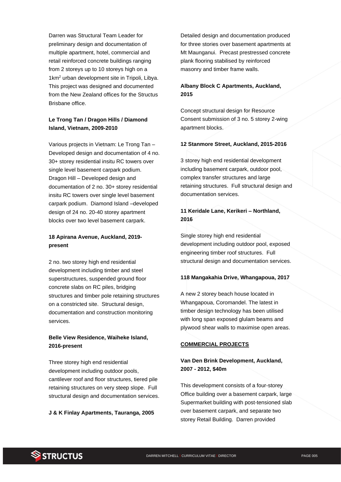Darren was Structural Team Leader for preliminary design and documentation of multiple apartment, hotel, commercial and retail reinforced concrete buildings ranging from 2 storeys up to 10 storeys high on a 1km<sup>2</sup> urban development site in Tripoli, Libya. This project was designed and documented from the New Zealand offices for the Structus Brisbane office.

# **Le Trong Tan / Dragon Hills / Diamond Island, Vietnam, 2009-2010**

Various projects in Vietnam: Le Trong Tan – Developed design and documentation of 4 no. 30+ storey residential insitu RC towers over single level basement carpark podium. Dragon Hill – Developed design and documentation of 2 no. 30+ storey residential insitu RC towers over single level basement carpark podium. Diamond Island –developed design of 24 no. 20-40 storey apartment blocks over two level basement carpark.

## **18 Apirana Avenue, Auckland, 2019 present**

2 no. two storey high end residential development including timber and steel superstructures, suspended ground floor concrete slabs on RC piles, bridging structures and timber pole retaining structures on a constricted site. Structural design, documentation and construction monitoring services.

## **Belle View Residence, Waiheke Island, 2016-present**

Three storey high end residential development including outdoor pools, cantilever roof and floor structures, tiered pile retaining structures on very steep slope. Full structural design and documentation services.

**J & K Finlay Apartments, Tauranga, 2005**

Detailed design and documentation produced for three stories over basement apartments at Mt Maunganui. Precast prestressed concrete plank flooring stabilised by reinforced masonry and timber frame walls.

## **Albany Block C Apartments, Auckland, 2015**

Concept structural design for Resource Consent submission of 3 no. 5 storey 2-wing apartment blocks.

#### **12 Stanmore Street, Auckland, 2015-2016**

3 storey high end residential development including basement carpark, outdoor pool, complex transfer structures and large retaining structures. Full structural design and documentation services.

## **11 Keridale Lane, Kerikeri – Northland, 2016**

Single storey high end residential development including outdoor pool, exposed engineering timber roof structures. Full structural design and documentation services.

#### **118 Mangakahia Drive, Whangapoua, 2017**

A new 2 storey beach house located in Whangapoua, Coromandel. The latest in timber design technology has been utilised with long span exposed glulam beams and plywood shear walls to maximise open areas.

#### **COMMERCIAL PROJECTS**

## **Van Den Brink Development, Auckland, 2007 - 2012, \$40m**

This development consists of a four-storey Office building over a basement carpark, large Supermarket building with post-tensioned slab over basement carpark, and separate two storey Retail Building. Darren provided

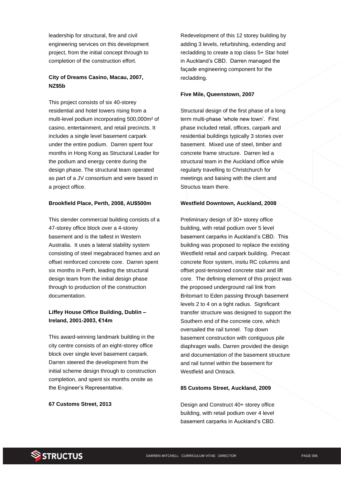leadership for structural, fire and civil engineering services on this development project, from the initial concept through to completion of the construction effort.

## **City of Dreams Casino, Macau, 2007, NZ\$5b**

This project consists of six 40-storey residential and hotel towers rising from a multi-level podium incorporating 500,000m² of casino, entertainment, and retail precincts. It includes a single level basement carpark under the entire podium. Darren spent four months in Hong Kong as Structural Leader for the podium and energy centre during the design phase. The structural team operated as part of a JV consortium and were based in a project office.

#### **Brookfield Place, Perth, 2008, AU\$500m**

This slender commercial building consists of a 47-storey office block over a 4-storey basement and is the tallest in Western Australia. It uses a lateral stability system consisting of steel megabraced frames and an offset reinforced concrete core. Darren spent six months in Perth, leading the structural design team from the initial design phase through to production of the construction documentation.

## **Liffey House Office Building, Dublin – Ireland, 2001-2003, €14m**

This award-winning landmark building in the city centre consists of an eight-storey office block over single level basement carpark. Darren steered the development from the initial scheme design through to construction completion, and spent six months onsite as the Engineer's Representative.

#### **67 Customs Street, 2013**

Redevelopment of this 12 storey building by adding 3 levels, refurbishing, extending and recladding to create a top class 5+ Star hotel in Auckland's CBD. Darren managed the façade engineering component for the recladding.

#### **Five Mile, Queenstown, 2007**

Structural design of the first phase of a long term multi-phase 'whole new town'. First phase included retail, offices, carpark and residential buildings typically 3 stories over basement. Mixed use of steel, timber and concrete frame structure. Darren led a structural team in the Auckland office while regularly travelling to Christchurch for meetings and liaising with the client and Structus team there.

#### **Westfield Downtown, Auckland, 2008**

Preliminary design of 30+ storey office building, with retail podium over 5 level basement carparks in Auckland's CBD. This building was proposed to replace the existing Westfield retail and carpark building. Precast concrete floor system, insitu RC columns and offset post-tensioned concrete stair and lift core. The defining element of this project was the proposed underground rail link from Britomart to Eden passing through basement levels 2 to 4 on a tight radius. Significant transfer structure was designed to support the Southern end of the concrete core, which oversailed the rail tunnel. Top down basement construction with contiguous pile diaphragm walls. Darren provided the design and documentation of the basement structure and rail tunnel within the basement for Westfield and Ontrack.

#### **85 Customs Street, Auckland, 2009**

Design and Construct 40+ storey office building, with retail podium over 4 level basement carparks in Auckland's CBD.

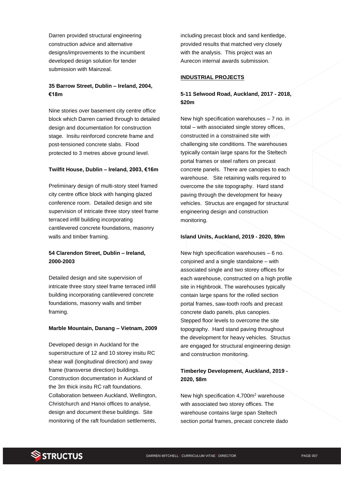Darren provided structural engineering construction advice and alternative designs/improvements to the incumbent developed design solution for tender submission with Mainzeal.

# **35 Barrow Street, Dublin – Ireland, 2004, €18m**

Nine stories over basement city centre office block which Darren carried through to detailed design and documentation for construction stage. Insitu reinforced concrete frame and post-tensioned concrete slabs. Flood protected to 3 metres above ground level.

#### **Twilfit House, Dublin – Ireland, 2003, €16m**

Preliminary design of multi-story steel framed city centre office block with hanging glazed conference room. Detailed design and site supervision of intricate three story steel frame terraced infill building incorporating cantilevered concrete foundations, masonry walls and timber framing.

## **54 Clarendon Street, Dublin – Ireland, 2000-2003**

Detailed design and site supervision of intricate three story steel frame terraced infill building incorporating cantilevered concrete foundations, masonry walls and timber framing.

#### **Marble Mountain, Danang – Vietnam, 2009**

Developed design in Auckland for the superstructure of 12 and 10 storey insitu RC shear wall (longitudinal direction) and sway frame (transverse direction) buildings. Construction documentation in Auckland of the 3m thick insitu RC raft foundations. Collaboration between Auckland, Wellington, Christchurch and Hanoi offices to analyse, design and document these buildings. Site monitoring of the raft foundation settlements,

including precast block and sand kentledge, provided results that matched very closely with the analysis. This project was an Aurecon internal awards submission.

#### **INDUSTRIAL PROJECTS**

# **5-11 Selwood Road, Auckland, 2017 - 2018, \$20m**

New high specification warehouses – 7 no. in total – with associated single storey offices, constructed in a constrained site with challenging site conditions. The warehouses typically contain large spans for the Steltech portal frames or steel rafters on precast concrete panels. There are canopies to each warehouse. Site retaining walls required to overcome the site topography. Hard stand paving through the development for heavy vehicles. Structus are engaged for structural engineering design and construction monitoring.

#### **Island Units, Auckland, 2019 - 2020, \$9m**

New high specification warehouses – 6 no. conjoined and a single standalone – with associated single and two storey offices for each warehouse, constructed on a high profile site in Highbrook. The warehouses typically contain large spans for the rolled section portal frames, saw-tooth roofs and precast concrete dado panels, plus canopies. Stepped floor levels to overcome the site topography. Hard stand paving throughout the development for heavy vehicles. Structus are engaged for structural engineering design and construction monitoring.

# **Timberley Development, Auckland, 2019 - 2020, \$8m**

New high specification 4,700m<sup>2</sup> warehouse with associated two storey offices. The warehouse contains large span Steltech section portal frames, precast concrete dado

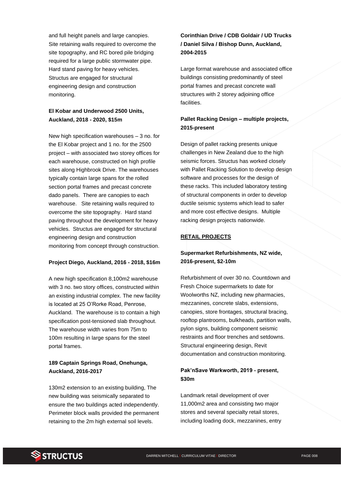and full height panels and large canopies. Site retaining walls required to overcome the site topography, and RC bored pile bridging required for a large public stormwater pipe. Hard stand paving for heavy vehicles. Structus are engaged for structural engineering design and construction monitoring.

# **El Kobar and Underwood 2500 Units, Auckland, 2018 - 2020, \$15m**

New high specification warehouses – 3 no. for the El Kobar project and 1 no. for the 2500 project – with associated two storey offices for each warehouse, constructed on high profile sites along Highbrook Drive. The warehouses typically contain large spans for the rolled section portal frames and precast concrete dado panels. There are canopies to each warehouse. Site retaining walls required to overcome the site topography. Hard stand paving throughout the development for heavy vehicles. Structus are engaged for structural engineering design and construction monitoring from concept through construction.

#### **Project Diego, Auckland, 2016 - 2018, \$16m**

A new high specification 8,100m2 warehouse with 3 no. two story offices, constructed within an existing industrial complex. The new facility is located at 25 O'Rorke Road, Penrose, Auckland. The warehouse is to contain a high specification post-tensioned slab throughout. The warehouse width varies from 75m to 100m resulting in large spans for the steel portal frames.

## **189 Captain Springs Road, Onehunga, Auckland, 2016-2017**

130m2 extension to an existing building, The new building was seismically separated to ensure the two buildings acted independently. Perimeter block walls provided the permanent retaining to the 2m high external soil levels.

# **Corinthian Drive / CDB Goldair / UD Trucks / Daniel Silva / Bishop Dunn, Auckland, 2004-2015**

Large format warehouse and associated office buildings consisting predominantly of steel portal frames and precast concrete wall structures with 2 storey adjoining office facilities.

# **Pallet Racking Design – multiple projects, 2015-present**

Design of pallet racking presents unique challenges in New Zealand due to the high seismic forces. Structus has worked closely with Pallet Racking Solution to develop design software and processes for the design of these racks. This included laboratory testing of structural components in order to develop ductile seismic systems which lead to safer and more cost effective designs. Multiple racking design projects nationwide.

#### **RETAIL PROJECTS**

# **Supermarket Refurbishments, NZ wide, 2016-present, \$2-10m**

Refurbishment of over 30 no. Countdown and Fresh Choice supermarkets to date for Woolworths NZ, including new pharmacies, mezzanines, concrete slabs, extensions, canopies, store frontages, structural bracing, rooftop plantrooms, bulkheads, partition walls, pylon signs, building component seismic restraints and floor trenches and setdowns. Structural engineering design, Revit documentation and construction monitoring.

#### **Pak'nSave Warkworth, 2019 - present, \$30m**

Landmark retail development of over 11,000m2 area and consisting two major stores and several specialty retail stores, including loading dock, mezzanines, entry

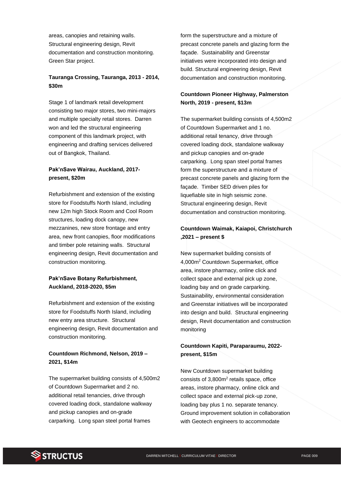areas, canopies and retaining walls. Structural engineering design, Revit documentation and construction monitoring. Green Star project.

# **Tauranga Crossing, Tauranga, 2013 - 2014, \$30m**

Stage 1 of landmark retail development consisting two major stores, two mini-majors and multiple specialty retail stores. Darren won and led the structural engineering component of this landmark project, with engineering and drafting services delivered out of Bangkok, Thailand.

## **Pak'nSave Wairau, Auckland, 2017 present, \$20m**

Refurbishment and extension of the existing store for Foodstuffs North Island, including new 12m high Stock Room and Cool Room structures, loading dock canopy, new mezzanines, new store frontage and entry area, new front canopies, floor modifications and timber pole retaining walls. Structural engineering design, Revit documentation and construction monitoring.

## **Pak'nSave Botany Refurbishment, Auckland, 2018-2020, \$5m**

Refurbishment and extension of the existing store for Foodstuffs North Island, including new entry area structure. Structural engineering design, Revit documentation and construction monitoring.

# **Countdown Richmond, Nelson, 2019 – 2021, \$14m**

The supermarket building consists of 4,500m2 of Countdown Supermarket and 2 no. additional retail tenancies, drive through covered loading dock, standalone walkway and pickup canopies and on-grade carparking. Long span steel portal frames

form the superstructure and a mixture of precast concrete panels and glazing form the façade. Sustainability and Greenstar initiatives were incorporated into design and build. Structural engineering design, Revit documentation and construction monitoring.

# **Countdown Pioneer Highway, Palmerston North, 2019 - present, \$13m**

The supermarket building consists of 4,500m2 of Countdown Supermarket and 1 no. additional retail tenancy, drive through covered loading dock, standalone walkway and pickup canopies and on-grade carparking. Long span steel portal frames form the superstructure and a mixture of precast concrete panels and glazing form the façade. Timber SED driven piles for liquefiable site in high seismic zone. Structural engineering design, Revit documentation and construction monitoring.

# **Countdown Waimak, Kaiapoi, Christchurch ,2021 – present \$**

New supermarket building consists of 4,000m<sup>2</sup> Countdown Supermarket, office area, instore pharmacy, online click and collect space and external pick up zone, loading bay and on grade carparking. Sustainability, environmental consideration and Greenstar initiatives will be incorporated into design and build. Structural engineering design, Revit documentation and construction monitoring

## **Countdown Kapiti, Paraparaumu, 2022 present, \$15m**

New Countdown supermarket building consists of 3,800m<sup>2</sup> retails space, office areas, instore pharmacy, online click and collect space and external pick-up zone, loading bay plus 1 no. separate tenancy. Ground improvement solution in collaboration with Geotech engineers to accommodate

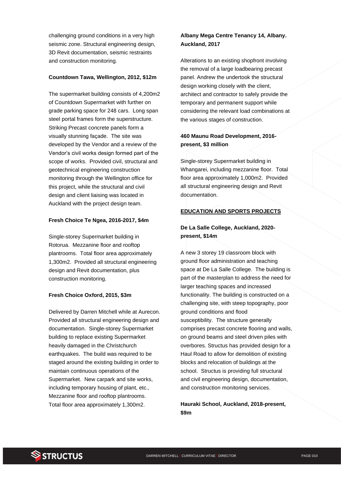challenging ground conditions in a very high seismic zone. Structural engineering design, 3D Revit documentation, seismic restraints and construction monitoring.

#### **Countdown Tawa, Wellington, 2012, \$12m**

The supermarket building consists of 4,200m2 of Countdown Supermarket with further on grade parking space for 248 cars. Long span steel portal frames form the superstructure. Striking Precast concrete panels form a visually stunning façade. The site was developed by the Vendor and a review of the Vendor's civil works design formed part of the scope of works. Provided civil, structural and geotechnical engineering construction monitoring through the Wellington office for this project, while the structural and civil design and client liaising was located in Auckland with the project design team.

#### **Fresh Choice Te Ngea, 2016-2017, \$4m**

Single-storey Supermarket building in Rotorua. Mezzanine floor and rooftop plantrooms. Total floor area approximately 1,300m2. Provided all structural engineering design and Revit documentation, plus construction monitoring.

#### **Fresh Choice Oxford, 2015, \$3m**

Delivered by Darren Mitchell while at Aurecon. Provided all structural engineering design and documentation. Single-storey Supermarket building to replace existing Supermarket heavily damaged in the Christchurch earthquakes. The build was required to be staged around the existing building in order to maintain continuous operations of the Supermarket. New carpark and site works, including temporary housing of plant, etc., Mezzanine floor and rooftop plantrooms. Total floor area approximately 1,300m2.

## **Albany Mega Centre Tenancy 14, Albany. Auckland, 2017**

Alterations to an existing shopfront involving the removal of a large loadbearing precast panel. Andrew the undertook the structural design working closely with the client, architect and contractor to safely provide the temporary and permanent support while considering the relevant load combinations at the various stages of construction.

## **460 Maunu Road Development, 2016 present, \$3 million**

Single-storey Supermarket building in Whangarei, including mezzanine floor. Total floor area approximately 1,000m2. Provided all structural engineering design and Revit documentation.

## **EDUCATION AND SPORTS PROJECTS**

## **De La Salle College, Auckland, 2020 present, \$14m**

A new 3 storey 19 classroom block with ground floor administration and teaching space at De La Salle College. The building is part of the masterplan to address the need for larger teaching spaces and increased functionality. The building is constructed on a challenging site, with steep topography, poor ground conditions and flood susceptibility. The structure generally comprises precast concrete flooring and walls, on ground beams and steel driven piles with overbores. Structus has provided design for a Haul Road to allow for demolition of existing blocks and relocation of buildings at the school. Structus is providing full structural and civil engineering design, documentation, and construction monitoring services.

**Hauraki School, Auckland, 2018-present, \$9m**

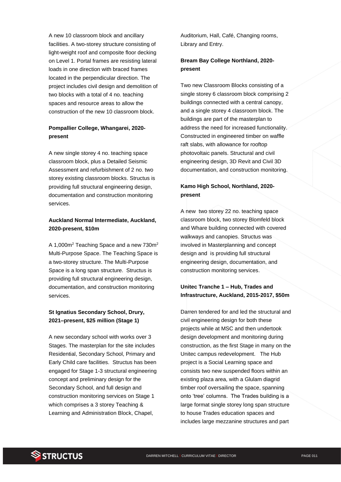A new 10 classroom block and ancillary facilities. A two-storey structure consisting of light-weight roof and composite floor decking on Level 1. Portal frames are resisting lateral loads in one direction with braced frames located in the perpendicular direction. The project includes civil design and demolition of two blocks with a total of 4 no. teaching spaces and resource areas to allow the construction of the new 10 classroom block.

# **Pompallier College, Whangarei, 2020 present**

A new single storey 4 no. teaching space classroom block, plus a Detailed Seismic Assessment and refurbishment of 2 no. two storey existing classroom blocks. Structus is providing full structural engineering design, documentation and construction monitoring services.

## **Auckland Normal Intermediate, Auckland, 2020-present, \$10m**

A 1,000m<sup>2</sup> Teaching Space and a new 730m<sup>2</sup> Multi-Purpose Space. The Teaching Space is a two-storey structure. The Multi-Purpose Space is a long span structure. Structus is providing full structural engineering design, documentation, and construction monitoring services.

# **St Ignatius Secondary School, Drury, 2021–present, \$25 million (Stage 1)**

A new secondary school with works over 3 Stages. The masterplan for the site includes Residential, Secondary School, Primary and Early Child care facilities. Structus has been engaged for Stage 1-3 structural engineering concept and preliminary design for the Secondary School, and full design and construction monitoring services on Stage 1 which comprises a 3 storey Teaching & Learning and Administration Block, Chapel,

Auditorium, Hall, Café, Changing rooms, Library and Entry.

### **Bream Bay College Northland, 2020 present**

Two new Classroom Blocks consisting of a single storey 6 classroom block comprising 2 buildings connected with a central canopy, and a single storey 4 classroom block. The buildings are part of the masterplan to address the need for increased functionality. Constructed in engineered timber on waffle raft slabs, with allowance for rooftop photovoltaic panels. Structural and civil engineering design, 3D Revit and Civil 3D documentation, and construction monitoring.

# **Kamo High School, Northland, 2020 present**

A new two storey 22 no. teaching space classroom block, two storey Blomfeld block and Whare building connected with covered walkways and canopies. Structus was involved in Masterplanning and concept design and is providing full structural engineering design, documentation, and construction monitoring services.

## **Unitec Tranche 1 – Hub, Trades and Infrastructure, Auckland, 2015-2017, \$50m**

Darren tendered for and led the structural and civil engineering design for both these projects while at MSC and then undertook design development and monitoring during construction, as the first Stage in many on the Unitec campus redevelopment. The Hub project is a Social Learning space and consists two new suspended floors within an existing plaza area, with a Glulam diagrid timber roof oversailing the space, spanning onto 'tree' columns. The Trades building is a large format single storey long span structure to house Trades education spaces and includes large mezzanine structures and part

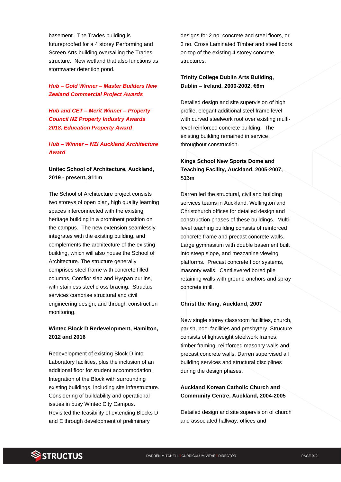basement. The Trades building is futureproofed for a 4 storey Performing and Screen Arts building oversailing the Trades structure. New wetland that also functions as stormwater detention pond.

## *Hub – Gold Winner – Master Builders New Zealand Commercial Project Awards*

*Hub and CET – Merit Winner – Property Council NZ Property Industry Awards 2018, Education Property Award*

*Hub – Winner – NZI Auckland Architecture Award*

## **Unitec School of Architecture, Auckland, 2019 - present, \$11m**

The School of Architecture project consists two storeys of open plan, high quality learning spaces interconnected with the existing heritage building in a prominent position on the campus. The new extension seamlessly integrates with the existing building, and complements the architecture of the existing building, which will also house the School of Architecture. The structure generally comprises steel frame with concrete filled columns, Comflor slab and Hyspan purlins, with stainless steel cross bracing. Structus services comprise structural and civil engineering design, and through construction monitoring.

# **Wintec Block D Redevelopment, Hamilton, 2012 and 2016**

Redevelopment of existing Block D into Laboratory facilities, plus the inclusion of an additional floor for student accommodation. Integration of the Block with surrounding existing buildings, including site infrastructure. Considering of buildability and operational issues in busy Wintec City Campus. Revisited the feasibility of extending Blocks D and E through development of preliminary

designs for 2 no. concrete and steel floors, or 3 no. Cross Laminated Timber and steel floors on top of the existing 4 storey concrete structures.

### **Trinity College Dublin Arts Building, Dublin – Ireland, 2000-2002, €6m**

Detailed design and site supervision of high profile, elegant additional steel frame level with curved steelwork roof over existing multilevel reinforced concrete building. The existing building remained in service throughout construction.

# **Kings School New Sports Dome and Teaching Facility, Auckland, 2005-2007, \$13m**

Darren led the structural, civil and building services teams in Auckland, Wellington and Christchurch offices for detailed design and construction phases of these buildings. Multilevel teaching building consists of reinforced concrete frame and precast concrete walls. Large gymnasium with double basement built into steep slope, and mezzanine viewing platforms. Precast concrete floor systems, masonry walls. Cantilevered bored pile retaining walls with ground anchors and spray concrete infill.

#### **Christ the King, Auckland, 2007**

New single storey classroom facilities, church, parish, pool facilities and presbytery. Structure consists of lightweight steelwork frames, timber framing, reinforced masonry walls and precast concrete walls. Darren supervised all building services and structural disciplines during the design phases.

## **Auckland Korean Catholic Church and Community Centre, Auckland, 2004-2005**

Detailed design and site supervision of church and associated hallway, offices and

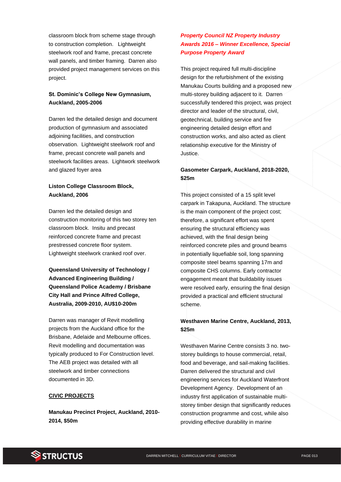classroom block from scheme stage through to construction completion. Lightweight steelwork roof and frame, precast concrete wall panels, and timber framing. Darren also provided project management services on this project.

## **St. Dominic's College New Gymnasium, Auckland, 2005-2006**

Darren led the detailed design and document production of gymnasium and associated adjoining facilities, and construction observation. Lightweight steelwork roof and frame, precast concrete wall panels and steelwork facilities areas. Lightwork steelwork and glazed foyer area

## **Liston College Classroom Block, Auckland, 2006**

Darren led the detailed design and construction monitoring of this two storey ten classroom block. Insitu and precast reinforced concrete frame and precast prestressed concrete floor system. Lightweight steelwork cranked roof over.

**Queensland University of Technology / Advanced Engineering Building / Queensland Police Academy / Brisbane City Hall and Prince Alfred College, Australia, 2009-2010, AU\$10-200m**

Darren was manager of Revit modelling projects from the Auckland office for the Brisbane, Adelaide and Melbourne offices. Revit modelling and documentation was typically produced to For Construction level. The AEB project was detailed with all steelwork and timber connections documented in 3D.

#### **CIVIC PROJECTS**

**Manukau Precinct Project, Auckland, 2010- 2014, \$50m**

# *Property Council NZ Property Industry Awards 2016 – Winner Excellence, Special Purpose Property Award*

This project required full multi-discipline design for the refurbishment of the existing Manukau Courts building and a proposed new multi-storey building adjacent to it. Darren successfully tendered this project, was project director and leader of the structural, civil, geotechnical, building service and fire engineering detailed design effort and construction works, and also acted as client relationship executive for the Ministry of Justice.

## **Gasometer Carpark, Auckland, 2018-2020, \$25m**

This project consisted of a 15 split level carpark in Takapuna, Auckland. The structure is the main component of the project cost; therefore, a significant effort was spent ensuring the structural efficiency was achieved, with the final design being reinforced concrete piles and ground beams in potentially liquefiable soil, long spanning composite steel beams spanning 17m and composite CHS columns. Early contractor engagement meant that buildability issues were resolved early, ensuring the final design provided a practical and efficient structural scheme.

#### **Westhaven Marine Centre, Auckland, 2013, \$25m**

Westhaven Marine Centre consists 3 no. twostorey buildings to house commercial, retail, food and beverage, and sail-making facilities. Darren delivered the structural and civil engineering services for Auckland Waterfront Development Agency. Development of an industry first application of sustainable multistorey timber design that significantly reduces construction programme and cost, while also providing effective durability in marine

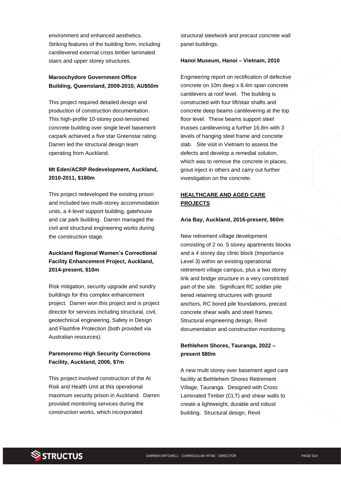environment and enhanced aesthetics. Striking features of the building form, including cantilevered external cross timber laminated stairs and upper storey structures.

# **Maroochydore Government Office Building, Queensland, 2009-2010, AU\$50m**

This project required detailed design and production of construction documentation. This high-profile 10-storey post-tensioned concrete building over single level basement carpark achieved a five star Greenstar rating. Darren led the structural design team operating from Auckland.

## **Mt Eden/ACRP Redevelopment, Auckland, 2010-2011, \$180m**

This project redeveloped the existing prison and included two multi-storey accommodation units, a 4-level support building, gatehouse and car park building. Darren managed the civil and structural engineering works during the construction stage.

# **Auckland Regional Women's Correctional Facility Enhancement Project, Auckland, 2014-present, \$10m**

Risk mitigation, security upgrade and sundry buildings for this complex enhancement project. Darren won this project and is project director for services including structural, civil, geotechnical engineering, Safety in Design and Flashfire Protection (both provided via Australian resources).

# **Paremoremo High Security Corrections Facility, Auckland, 2006, \$7m**

This project involved construction of the At Risk and Health Unit at this operational maximum security prison in Auckland. Darren provided monitoring services during the construction works, which incorporated

structural steelwork and precast concrete wall panel buildings.

#### **Hanoi Museum, Hanoi – Vietnam, 2010**

Engineering report on rectification of defective concrete on 10m deep x 8.4m span concrete cantilevers at roof level. The building is constructed with four lift/stair shafts and concrete deep beams cantilevering at the top floor level. These beams support steel trusses cantilevering a further 16.8m with 3 levels of hanging steel frame and concrete slab. Site visit in Vietnam to assess the defects and develop a remedial solution, which was to remove the concrete in places, grout inject in others and carry out further investigation on the concrete.

# **HEALTHCARE AND AGED CARE PROJECTS**

#### **Aria Bay, Auckland, 2016-present, \$60m**

New retirement village development consisting of 2 no. 5 storey apartments blocks and a 4 storey day clinic block (Importance Level 3) within an existing operational retirement village campus, plus a two storey link and bridge structure in a very constricted part of the site. Significant RC soldier pile tiered retaining structures with ground anchors, RC bored pile foundations, precast concrete shear walls and steel frames. Structural engineering design, Revit documentation and construction monitoring.

# **Bethlehem Shores, Tauranga, 2022 – present \$80m**

A new multi storey over basement aged care facility at Bethlehem Shores Retirement Village, Tauranga. Designed with Cross Laminated Timber (CLT) and shear walls to create a lightweight, durable and robust building. Structural design, Revit

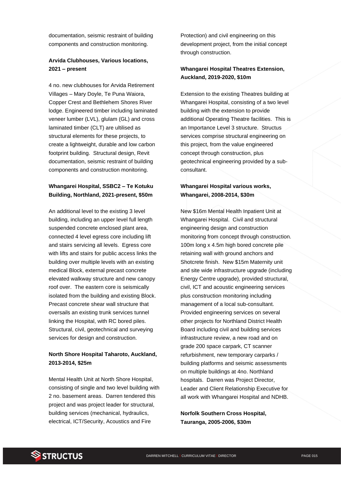documentation, seismic restraint of building components and construction monitoring.

## **Arvida Clubhouses, Various locations, 2021 – present**

4 no. new clubhouses for Arvida Retirement Villages – Mary Doyle, Te Puna Waiora, Copper Crest and Bethlehem Shores River lodge. Engineered timber including laminated veneer lumber (LVL), glulam (GL) and cross laminated timber (CLT) are ultilised as structural elements for these projects, to create a lightweight, durable and low carbon footprint building. Structural design, Revit documentation, seismic restraint of building components and construction monitoring.

## **Whangarei Hospital, SSBC2 – Te Kotuku Building, Northland, 2021-present, \$50m**

An additional level to the existing 3 level building, including an upper level full length suspended concrete enclosed plant area, connected 4 level egress core including lift and stairs servicing all levels. Egress core with lifts and stairs for public access links the building over multiple levels with an existing medical Block, external precast concrete elevated walkway structure and new canopy roof over. The eastern core is seismically isolated from the building and existing Block. Precast concrete shear wall structure that oversails an existing trunk services tunnel linking the Hospital, with RC bored piles. Structural, civil, geotechnical and surveying services for design and construction.

## **North Shore Hospital Taharoto, Auckland, 2013-2014, \$25m**

Mental Health Unit at North Shore Hospital, consisting of single and two level building with 2 no. basement areas. Darren tendered this project and was project leader for structural, building services (mechanical, hydraulics, electrical, ICT/Security, Acoustics and Fire

Protection) and civil engineering on this development project, from the initial concept through construction.

## **Whangarei Hospital Theatres Extension, Auckland, 2019-2020, \$10m**

Extension to the existing Theatres building at Whangarei Hospital, consisting of a two level building with the extension to provide additional Operating Theatre facilities. This is an Importance Level 3 structure. Structus services comprise structural engineering on this project, from the value engineered concept through construction, plus geotechnical engineering provided by a subconsultant.

#### **Whangarei Hospital various works, Whangarei, 2008-2014, \$30m**

New \$16m Mental Health Inpatient Unit at Whangarei Hospital. Civil and structural engineering design and construction monitoring from concept through construction. 100m long x 4.5m high bored concrete pile retaining wall with ground anchors and Shotcrete finish. New \$15m Maternity unit and site wide infrastructure upgrade (including Energy Centre upgrade), provided structural, civil, ICT and acoustic engineering services plus construction monitoring including management of a local sub-consultant. Provided engineering services on several other projects for Northland District Health Board including civil and building services infrastructure review, a new road and on grade 200 space carpark, CT scanner refurbishment, new temporary carparks / building platforms and seismic assessments on multiple buildings at 4no. Northland hospitals. Darren was Project Director, Leader and Client Relationship Executive for all work with Whangarei Hospital and NDHB.

**Norfolk Southern Cross Hospital, Tauranga, 2005-2006, \$30m**

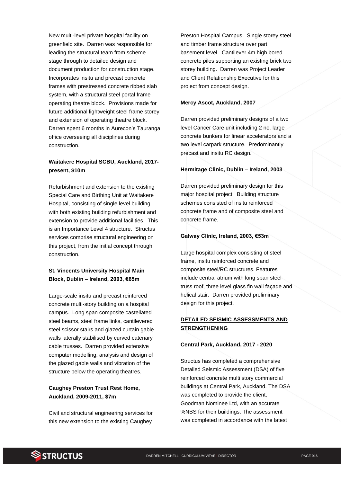New multi-level private hospital facility on greenfield site. Darren was responsible for leading the structural team from scheme stage through to detailed design and document production for construction stage. Incorporates insitu and precast concrete frames with prestressed concrete ribbed slab system, with a structural steel portal frame operating theatre block. Provisions made for future additional lightweight steel frame storey and extension of operating theatre block. Darren spent 6 months in Aurecon's Tauranga office overseeing all disciplines during construction.

#### **Waitakere Hospital SCBU, Auckland, 2017 present, \$10m**

Refurbishment and extension to the existing Special Care and Birthing Unit at Waitakere Hospital, consisting of single level building with both existing building refurbishment and extension to provide additional facilities. This is an Importance Level 4 structure. Structus services comprise structural engineering on this project, from the initial concept through construction.

# **St. Vincents University Hospital Main Block, Dublin – Ireland, 2003, €65m**

Large-scale insitu and precast reinforced concrete multi-story building on a hospital campus. Long span composite castellated steel beams, steel frame links, cantilevered steel scissor stairs and glazed curtain gable walls laterally stabilised by curved catenary cable trusses. Darren provided extensive computer modelling, analysis and design of the glazed gable walls and vibration of the structure below the operating theatres.

## **Caughey Preston Trust Rest Home, Auckland, 2009-2011, \$7m**

Civil and structural engineering services for this new extension to the existing Caughey

Preston Hospital Campus. Single storey steel and timber frame structure over part basement level. Cantilever 4m high bored concrete piles supporting an existing brick two storey building. Darren was Project Leader and Client Relationship Executive for this project from concept design.

#### **Mercy Ascot, Auckland, 2007**

Darren provided preliminary designs of a two level Cancer Care unit including 2 no. large concrete bunkers for linear accelerators and a two level carpark structure. Predominantly precast and insitu RC design.

#### **Hermitage Clinic, Dublin – Ireland, 2003**

Darren provided preliminary design for this major hospital project. Building structure schemes consisted of insitu reinforced concrete frame and of composite steel and concrete frame.

#### **Galway Clinic, Ireland, 2003, €53m**

Large hospital complex consisting of steel frame, insitu reinforced concrete and composite steel/RC structures. Features include central atrium with long span steel truss roof, three level glass fin wall façade and helical stair. Darren provided preliminary design for this project.

#### **DETAILED SEISMIC ASSESSMENTS AND STRENGTHENING**

#### **Central Park, Auckland, 2017 - 2020**

Structus has completed a comprehensive Detailed Seismic Assessment (DSA) of five reinforced concrete multi story commercial buildings at Central Park, Auckland. The DSA was completed to provide the client, Goodman Nominee Ltd, with an accurate %NBS for their buildings. The assessment was completed in accordance with the latest

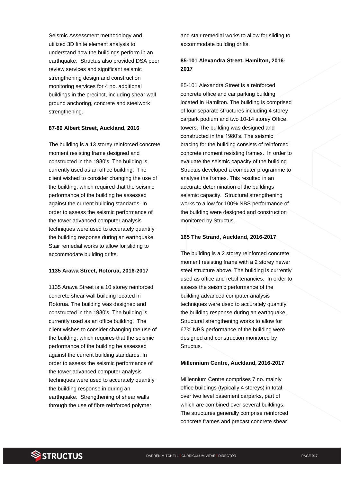Seismic Assessment methodology and utilized 3D finite element analysis to understand how the buildings perform in an earthquake. Structus also provided DSA peer review services and significant seismic strengthening design and construction monitoring services for 4 no. additional buildings in the precinct, including shear wall ground anchoring, concrete and steelwork strengthening.

#### **87-89 Albert Street, Auckland, 2016**

The building is a 13 storey reinforced concrete moment resisting frame designed and constructed in the 1980's. The building is currently used as an office building. The client wished to consider changing the use of the building, which required that the seismic performance of the building be assessed against the current building standards. In order to assess the seismic performance of the tower advanced computer analysis techniques were used to accurately quantify the building response during an earthquake. Stair remedial works to allow for sliding to accommodate building drifts.

#### **1135 Arawa Street, Rotorua, 2016-2017**

1135 Arawa Street is a 10 storey reinforced concrete shear wall building located in Rotorua. The building was designed and constructed in the 1980's. The building is currently used as an office building. The client wishes to consider changing the use of the building, which requires that the seismic performance of the building be assessed against the current building standards. In order to assess the seismic performance of the tower advanced computer analysis techniques were used to accurately quantify the building response in during an earthquake. Strengthening of shear walls through the use of fibre reinforced polymer

and stair remedial works to allow for sliding to accommodate building drifts.

#### **85-101 Alexandra Street, Hamilton, 2016- 2017**

85-101 Alexandra Street is a reinforced concrete office and car parking building located in Hamilton. The building is comprised of four separate structures including 4 storey carpark podium and two 10-14 storey Office towers. The building was designed and constructed in the 1980's. The seismic bracing for the building consists of reinforced concrete moment resisting frames. In order to evaluate the seismic capacity of the building Structus developed a computer programme to analyse the frames. This resulted in an accurate determination of the buildings seismic capacity. Structural strengthening works to allow for 100% NBS performance of the building were designed and construction monitored by Structus.

#### **165 The Strand, Auckland, 2016-2017**

The building is a 2 storey reinforced concrete moment resisting frame with a 2 storey newer steel structure above. The building is currently used as office and retail tenancies. In order to assess the seismic performance of the building advanced computer analysis techniques were used to accurately quantify the building response during an earthquake. Structural strengthening works to allow for 67% NBS performance of the building were designed and construction monitored by Structus.

#### **Millennium Centre, Auckland, 2016-2017**

Millennium Centre comprises 7 no. mainly office buildings (typically 4 storeys) in total over two level basement carparks, part of which are combined over several buildings. The structures generally comprise reinforced concrete frames and precast concrete shear

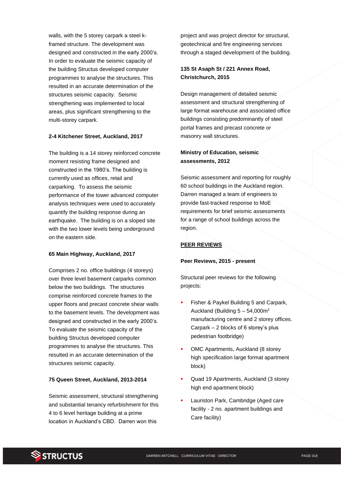walls, with the 5 storey carpark a steel kframed structure. The development was designed and constructed in the early 2000's. In order to evaluate the seismic capacity of the building Structus developed computer programmes to analyse the structures. This resulted in an accurate determination of the structures seismic capacity. Seismic strengthening was implemented to local areas, plus significant strengthening to the multi-storey carpark.

#### **2-4 Kitchener Street, Auckland, 2017**

The building is a 14 storey reinforced concrete moment resisting frame designed and constructed in the 1980's. The building is currently used as offices, retail and carparking. To assess the seismic performance of the tower advanced computer analysis techniques were used to accurately quantify the building response during an earthquake. The building is on a sloped site with the two lower levels being underground on the eastern side.

#### **65 Main Highway, Auckland, 2017**

Comprises 2 no. office buildings (4 storeys) over three level basement carparks common below the two buildings. The structures comprise reinforced concrete frames to the upper floors and precast concrete shear walls to the basement levels. The development was designed and constructed in the early 2000's. To evaluate the seismic capacity of the building Structus developed computer programmes to analyse the structures. This resulted in an accurate determination of the structures seismic capacity.

#### **75 Queen Street, Auckland, 2013-2014**

Seismic assessment, structural strengthening and substantial tenancy refurbishment for this 4 to 6 level heritage building at a prime location in Auckland's CBD. Darren won this

project and was project director for structural, geotechnical and fire engineering services through a staged development of the building.

## **135 St Asaph St / 221 Annex Road, Christchurch, 2015**

Design management of detailed seismic assessment and structural strengthening of large format warehouse and associated office buildings consisting predominantly of steel portal frames and precast concrete or masonry wall structures.

#### **Ministry of Education, seismic assessments, 2012**

Seismic assessment and reporting for roughly 60 school buildings in the Auckland region. Darren managed a team of engineers to provide fast-tracked response to MoE requirements for brief seismic assessments for a range of school buildings across the region.

#### **PEER REVIEWS**

#### **Peer Reviews, 2015 - present**

Structural peer reviews for the following projects:

- Fisher & Paykel Building 5 and Carpark, Auckland (Building  $5 - 54,000$ m<sup>2</sup> manufacturing centre and 2 storey offices. Carpark – 2 blocks of 6 storey's plus pedestrian footbridge)
- OMC Apartments, Auckland (8 storey high specification large format apartment block)
- Quad 19 Apartments, Auckland (3 storey high end apartment block)
- Lauriston Park, Cambridge (Aged care facility - 2 no. apartment buildings and Care facility)

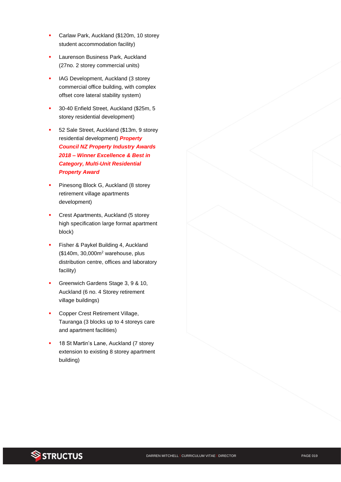- Carlaw Park, Auckland (\$120m, 10 storey student accommodation facility)
- Laurenson Business Park, Auckland (27no. 2 storey commercial units)
- IAG Development, Auckland (3 storey commercial office building, with complex offset core lateral stability system)
- 30-40 Enfield Street, Auckland (\$25m, 5 storey residential development)
- 52 Sale Street, Auckland (\$13m, 9 storey residential development) *Property Council NZ Property Industry Awards 2018 – Winner Excellence & Best in Category, Multi-Unit Residential Property Award*
- Pinesong Block G, Auckland (8 storey retirement village apartments development)
- Crest Apartments, Auckland (5 storey high specification large format apartment block)
- Fisher & Paykel Building 4, Auckland (\$140m, 30,000m<sup>2</sup> warehouse, plus distribution centre, offices and laboratory facility)
- Greenwich Gardens Stage 3, 9 & 10, Auckland (6 no. 4 Storey retirement village buildings)
- Copper Crest Retirement Village, Tauranga (3 blocks up to 4 storeys care and apartment facilities)
- 18 St Martin's Lane, Auckland (7 storey extension to existing 8 storey apartment building)